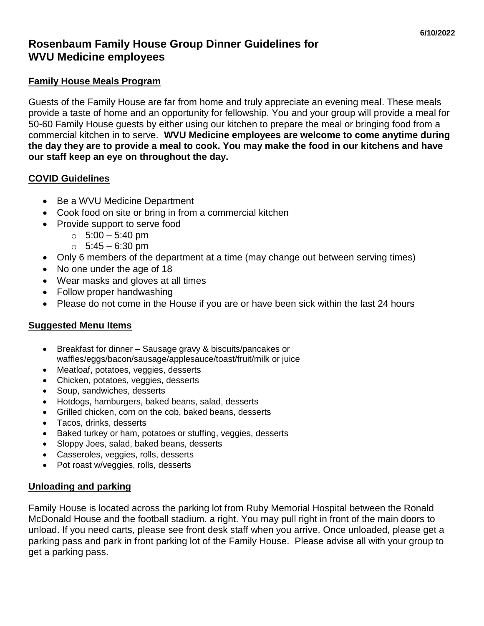# **Rosenbaum Family House Group Dinner Guidelines for WVU Medicine employees**

#### **Family House Meals Program**

Guests of the Family House are far from home and truly appreciate an evening meal. These meals provide a taste of home and an opportunity for fellowship. You and your group will provide a meal for 50-60 Family House guests by either using our kitchen to prepare the meal or bringing food from a commercial kitchen in to serve. **WVU Medicine employees are welcome to come anytime during the day they are to provide a meal to cook. You may make the food in our kitchens and have our staff keep an eye on throughout the day.**

### **COVID Guidelines**

- Be a WVU Medicine Department
- Cook food on site or bring in from a commercial kitchen
- Provide support to serve food
	- $\circ$  5:00 5:40 pm
	- $\circ$  5:45 6:30 pm
- Only 6 members of the department at a time (may change out between serving times)
- No one under the age of 18
- Wear masks and gloves at all times
- Follow proper handwashing
- Please do not come in the House if you are or have been sick within the last 24 hours

### **Suggested Menu Items**

- Breakfast for dinner Sausage gravy & biscuits/pancakes or waffles/eggs/bacon/sausage/applesauce/toast/fruit/milk or juice
- Meatloaf, potatoes, veggies, desserts
- Chicken, potatoes, veggies, desserts
- Soup, sandwiches, desserts
- Hotdogs, hamburgers, baked beans, salad, desserts
- Grilled chicken, corn on the cob, baked beans, desserts
- Tacos, drinks, desserts
- Baked turkey or ham, potatoes or stuffing, veggies, desserts
- Sloppy Joes, salad, baked beans, desserts
- Casseroles, veggies, rolls, desserts
- Pot roast w/veggies, rolls, desserts

#### **Unloading and parking**

Family House is located across the parking lot from Ruby Memorial Hospital between the Ronald McDonald House and the football stadium. a right. You may pull right in front of the main doors to unload. If you need carts, please see front desk staff when you arrive. Once unloaded, please get a parking pass and park in front parking lot of the Family House. Please advise all with your group to get a parking pass.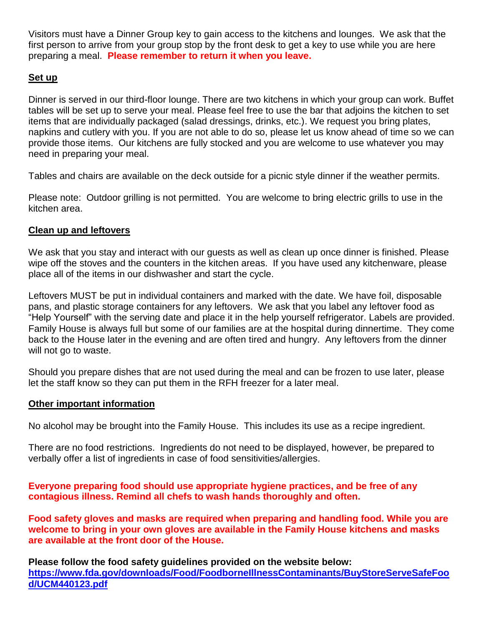Visitors must have a Dinner Group key to gain access to the kitchens and lounges. We ask that the first person to arrive from your group stop by the front desk to get a key to use while you are here preparing a meal. **Please remember to return it when you leave.**

## **Set up**

Dinner is served in our third-floor lounge. There are two kitchens in which your group can work. Buffet tables will be set up to serve your meal. Please feel free to use the bar that adjoins the kitchen to set items that are individually packaged (salad dressings, drinks, etc.). We request you bring plates, napkins and cutlery with you. If you are not able to do so, please let us know ahead of time so we can provide those items. Our kitchens are fully stocked and you are welcome to use whatever you may need in preparing your meal.

Tables and chairs are available on the deck outside for a picnic style dinner if the weather permits.

Please note: Outdoor grilling is not permitted. You are welcome to bring electric grills to use in the kitchen area.

### **Clean up and leftovers**

We ask that you stay and interact with our guests as well as clean up once dinner is finished. Please wipe off the stoves and the counters in the kitchen areas. If you have used any kitchenware, please place all of the items in our dishwasher and start the cycle.

Leftovers MUST be put in individual containers and marked with the date. We have foil, disposable pans, and plastic storage containers for any leftovers. We ask that you label any leftover food as "Help Yourself" with the serving date and place it in the help yourself refrigerator. Labels are provided. Family House is always full but some of our families are at the hospital during dinnertime. They come back to the House later in the evening and are often tired and hungry. Any leftovers from the dinner will not go to waste.

Should you prepare dishes that are not used during the meal and can be frozen to use later, please let the staff know so they can put them in the RFH freezer for a later meal.

#### **Other important information**

No alcohol may be brought into the Family House. This includes its use as a recipe ingredient.

There are no food restrictions. Ingredients do not need to be displayed, however, be prepared to verbally offer a list of ingredients in case of food sensitivities/allergies.

**Everyone preparing food should use appropriate hygiene practices, and be free of any contagious illness. Remind all chefs to wash hands thoroughly and often.** 

**Food safety gloves and masks are required when preparing and handling food. While you are welcome to bring in your own gloves are available in the Family House kitchens and masks are available at the front door of the House.**

**Please follow the food safety guidelines provided on the website below: [https://www.fda.gov/downloads/Food/FoodborneIllnessContaminants/BuyStoreServeSafeFoo](https://www.fda.gov/downloads/Food/FoodborneIllnessContaminants/BuyStoreServeSafeFood/UCM440123.pdf) [d/UCM440123.pdf](https://www.fda.gov/downloads/Food/FoodborneIllnessContaminants/BuyStoreServeSafeFood/UCM440123.pdf)**